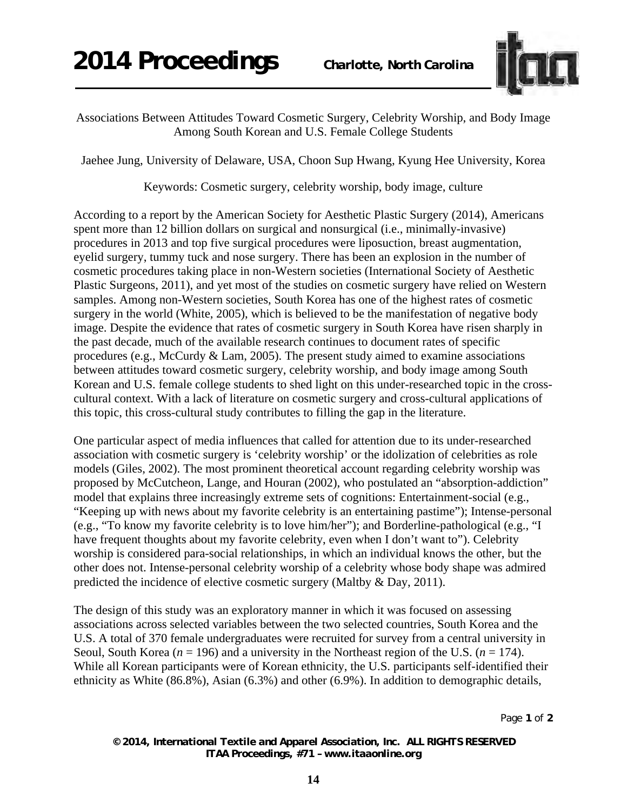

Associations Between Attitudes Toward Cosmetic Surgery, Celebrity Worship, and Body Image Among South Korean and U.S. Female College Students

Jaehee Jung, University of Delaware, USA, Choon Sup Hwang, Kyung Hee University, Korea

Keywords: Cosmetic surgery, celebrity worship, body image, culture

According to a report by the American Society for Aesthetic Plastic Surgery (2014), Americans spent more than 12 billion dollars on surgical and nonsurgical (i.e., minimally-invasive) procedures in 2013 and top five surgical procedures were liposuction, breast augmentation, eyelid surgery, tummy tuck and nose surgery. There has been an explosion in the number of cosmetic procedures taking place in non-Western societies (International Society of Aesthetic Plastic Surgeons, 2011), and yet most of the studies on cosmetic surgery have relied on Western samples. Among non-Western societies, South Korea has one of the highest rates of cosmetic surgery in the world (White, 2005), which is believed to be the manifestation of negative body image. Despite the evidence that rates of cosmetic surgery in South Korea have risen sharply in the past decade, much of the available research continues to document rates of specific procedures (e.g., McCurdy  $& Lam, 2005$ ). The present study aimed to examine associations between attitudes toward cosmetic surgery, celebrity worship, and body image among South Korean and U.S. female college students to shed light on this under-researched topic in the crosscultural context. With a lack of literature on cosmetic surgery and cross-cultural applications of this topic, this cross-cultural study contributes to filling the gap in the literature.

One particular aspect of media influences that called for attention due to its under-researched association with cosmetic surgery is 'celebrity worship' or the idolization of celebrities as role models (Giles, 2002). The most prominent theoretical account regarding celebrity worship was proposed by McCutcheon, Lange, and Houran (2002), who postulated an "absorption-addiction" model that explains three increasingly extreme sets of cognitions: Entertainment-social (e.g., "Keeping up with news about my favorite celebrity is an entertaining pastime"); Intense-personal (e.g., "To know my favorite celebrity is to love him/her"); and Borderline-pathological (e.g., "I have frequent thoughts about my favorite celebrity, even when I don't want to"). Celebrity worship is considered para-social relationships, in which an individual knows the other, but the other does not. Intense-personal celebrity worship of a celebrity whose body shape was admired predicted the incidence of elective cosmetic surgery (Maltby & Day, 2011).

The design of this study was an exploratory manner in which it was focused on assessing associations across selected variables between the two selected countries, South Korea and the U.S. A total of 370 female undergraduates were recruited for survey from a central university in Seoul, South Korea (*n* = 196) and a university in the Northeast region of the U.S. (*n* = 174). While all Korean participants were of Korean ethnicity, the U.S. participants self-identified their ethnicity as White (86.8%), Asian (6.3%) and other (6.9%). In addition to demographic details,

Page **1** of **2** 

*© 2014, International Textile and Apparel Association, Inc. ALL RIGHTS RESERVED ITAA Proceedings, #71 – www.itaaonline.org*